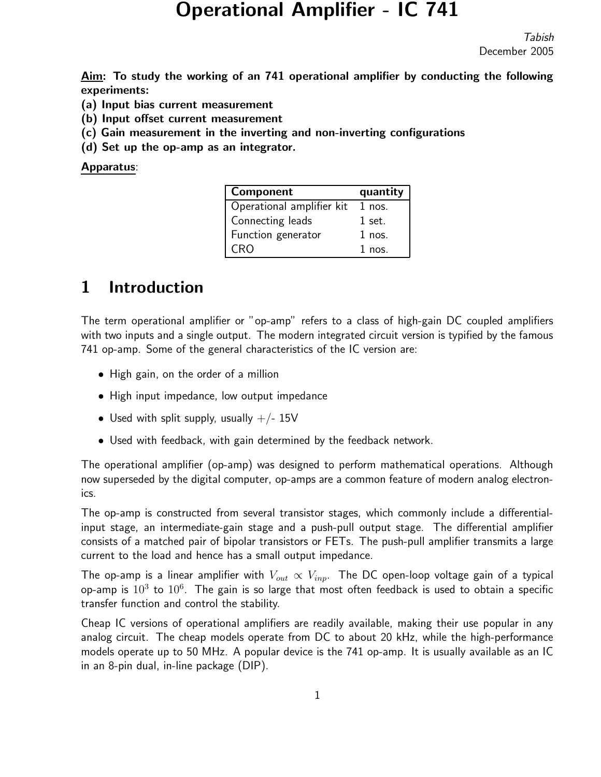# Operational Amplifier - IC 741

Tabish December 2005

Aim: To study the working of an 741 operational amplifier by conducting the following experiments:

- (a) Input bias current measurement
- (b) Input offset current measurement
- (c) Gain measurement in the inverting and non-inverting configurations
- (d) Set up the op-amp as an integrator.

Apparatus:

| Component                 | quantity |
|---------------------------|----------|
| Operational amplifier kit | $1$ nos. |
| Connecting leads          | 1 set.   |
| Function generator        | $1$ nos. |
| CRO                       | $1$ nos. |

## 1 Introduction

The term operational amplifier or "op-amp" refers to a class of high-gain DC coupled amplifiers with two inputs and a single output. The modern integrated circuit version is typified by the famous 741 op-amp. Some of the general characteristics of the IC version are:

- High gain, on the order of a million
- High input impedance, low output impedance
- Used with split supply, usually  $+/- 15V$
- Used with feedback, with gain determined by the feedback network.

The operational amplifier (op-amp) was designed to perform mathematical operations. Although now superseded by the digital computer, op-amps are a common feature of modern analog electronics.

The op-amp is constructed from several transistor stages, which commonly include a differentialinput stage, an intermediate-gain stage and a push-pull output stage. The differential amplifier consists of a matched pair of bipolar transistors or FETs. The push-pull amplifier transmits a large current to the load and hence has a small output impedance.

The op-amp is a linear amplifier with  $V_{out} \propto V_{inp}$ . The DC open-loop voltage gain of a typical op-amp is  $10^3$  to  $10^6$ . The gain is so large that most often feedback is used to obtain a specific transfer function and control the stability.

Cheap IC versions of operational amplifiers are readily available, making their use popular in any analog circuit. The cheap models operate from DC to about 20 kHz, while the high-performance models operate up to 50 MHz. A popular device is the 741 op-amp. It is usually available as an IC in an 8-pin dual, in-line package (DIP).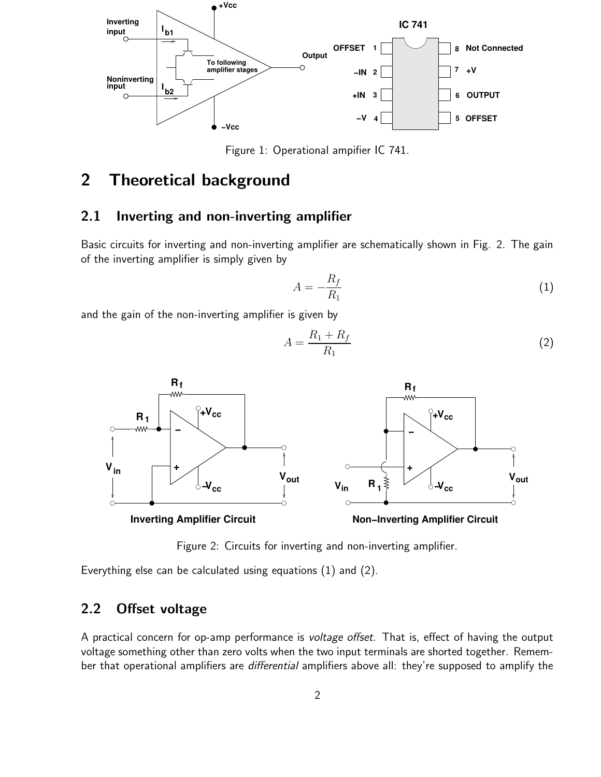

Figure 1: Operational ampifier IC 741.

## 2 Theoretical background

#### 2.1 Inverting and non-inverting amplifier

Basic circuits for inverting and non-inverting amplifier are schematically shown in Fig. 2. The gain of the inverting amplifier is simply given by

$$
A = -\frac{R_f}{R_1} \tag{1}
$$

and the gain of the non-inverting amplifier is given by

$$
A = \frac{R_1 + R_f}{R_1} \tag{2}
$$



Figure 2: Circuits for inverting and non-inverting amplifier.

Everything else can be calculated using equations (1) and (2).

### 2.2 Offset voltage

A practical concern for op-amp performance is voltage offset. That is, effect of having the output voltage something other than zero volts when the two input terminals are shorted together. Remember that operational amplifiers are differential amplifiers above all: they're supposed to amplify the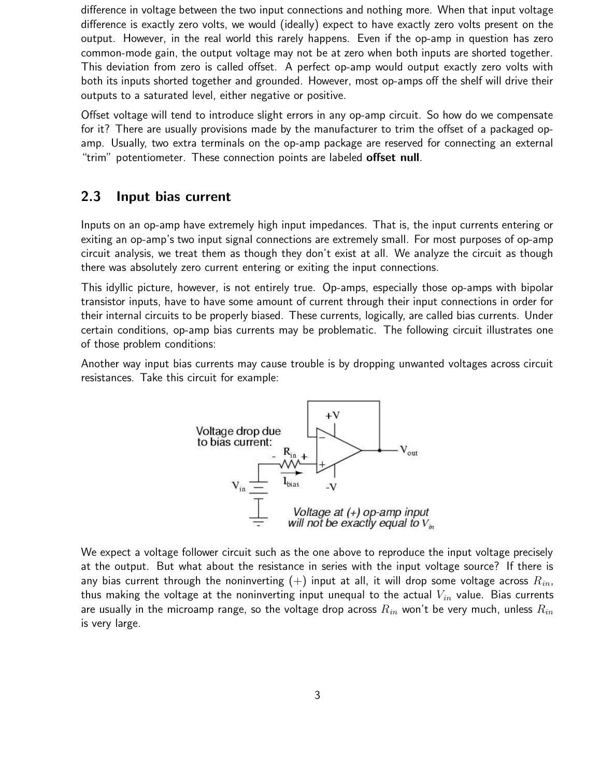difference in voltage between the two input connections and nothing more. When that input voltage difference is exactly zero volts, we would (ideally) expect to have exactly zero volts present on the output. However, in the real world this rarely happens. Even if the op-amp in question has zero common-mode gain, the output voltage may not be at zero when both inputs are shorted together. This deviation from zero is called offset. A perfect op-amp would output exactly zero volts with both its inputs shorted together and grounded. However, most op-amps off the shelf will drive their outputs to a saturated level, either negative or positive.

Offset voltage will tend to introduce slight errors in any op-amp circuit. So how do we compensate for it? There are usually provisions made by the manufacturer to trim the offset of a packaged opamp. Usually, two extra terminals on the op-amp package are reserved for connecting an external "trim" potentiometer. These connection points are labeled **offset null**.

### 2.3 Input bias current

Inputs on an op-amp have extremely high input impedances. That is, the input currents entering or exiting an op-amp's two input signal connections are extremely small. For most purposes of op-amp circuit analysis, we treat them as though they don't exist at all. We analyze the circuit as though there was absolutely zero current entering or exiting the input connections.

This idyllic picture, however, is not entirely true. Op-amps, especially those op-amps with bipolar transistor inputs, have to have some amount of current through their input connections in order for their internal circuits to be properly biased. These currents, logically, are called bias currents. Under certain conditions, op-amp bias currents may be problematic. The following circuit illustrates one of those problem conditions:

Another way input bias currents may cause trouble is by dropping unwanted voltages across circuit resistances. Take this circuit for example:



We expect a voltage follower circuit such as the one above to reproduce the input voltage precisely at the output. But what about the resistance in series with the input voltage source? If there is any bias current through the noninverting  $(+)$  input at all, it will drop some voltage across  $R_{in}$ , thus making the voltage at the noninverting input unequal to the actual  $V_{in}$  value. Bias currents are usually in the microamp range, so the voltage drop across  $R_{in}$  won't be very much, unless  $R_{in}$ is very large.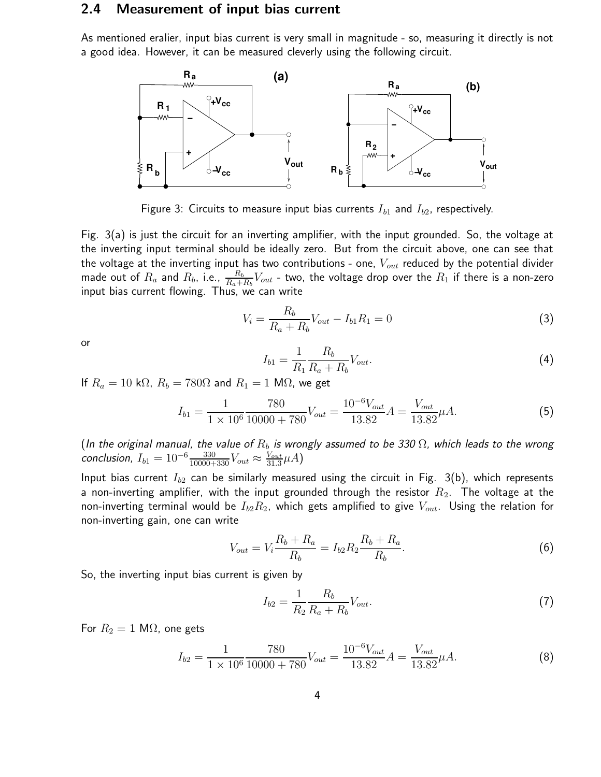#### 2.4 Measurement of input bias current

As mentioned eralier, input bias current is very small in magnitude - so, measuring it directly is not a good idea. However, it can be measured cleverly using the following circuit.



Figure 3: Circuits to measure input bias currents  $I_{b1}$  and  $I_{b2}$ , respectively.

Fig. 3(a) is just the circuit for an inverting amplifier, with the input grounded. So, the voltage at the inverting input terminal should be ideally zero. But from the circuit above, one can see that the voltage at the inverting input has two contributions - one,  $V_{out}$  reduced by the potential divider made out of  $R_a$  and  $R_b$ , i.e.,  $\frac{R_b}{R_a+R_b}V_{out}$  - two, the voltage drop over the  $R_1$  if there is a non-zero input bias current flowing. Thus, we can write

$$
V_i = \frac{R_b}{R_a + R_b} V_{out} - I_{b1} R_1 = 0
$$
\n(3)

or

$$
I_{b1} = \frac{1}{R_1} \frac{R_b}{R_a + R_b} V_{out}.
$$
\n(4)

If  $R_a = 10 \text{ k}\Omega$ ,  $R_b = 780\Omega$  and  $R_1 = 1 \text{ M}\Omega$ , we get

$$
I_{b1} = \frac{1}{1 \times 10^6} \frac{780}{10000 + 780} V_{out} = \frac{10^{-6} V_{out}}{13.82} A = \frac{V_{out}}{13.82} \mu A.
$$
 (5)

(In the original manual, the value of  $R_b$  is wrongly assumed to be 330  $\Omega$ , which leads to the wrong conclusion,  $I_{b1} = 10^{-6} \frac{330}{10000+330} V_{out} \approx \frac{V_{out}}{31.3} \mu A$ )

Input bias current  $I_{b2}$  can be similarly measured using the circuit in Fig. 3(b), which represents a non-inverting amplifier, with the input grounded through the resistor  $R_2$ . The voltage at the non-inverting terminal would be  $I_{b2}R_2$ , which gets amplified to give  $V_{out}$ . Using the relation for non-inverting gain, one can write

$$
V_{out} = V_i \frac{R_b + R_a}{R_b} = I_{b2} R_2 \frac{R_b + R_a}{R_b}.
$$
\n(6)

So, the inverting input bias current is given by

$$
I_{b2} = \frac{1}{R_2} \frac{R_b}{R_a + R_b} V_{out}.
$$
\n(7)

For  $R_2 = 1$  M $\Omega$ , one gets

$$
I_{b2} = \frac{1}{1 \times 10^6} \frac{780}{10000 + 780} V_{out} = \frac{10^{-6} V_{out}}{13.82} A = \frac{V_{out}}{13.82} \mu A.
$$
 (8)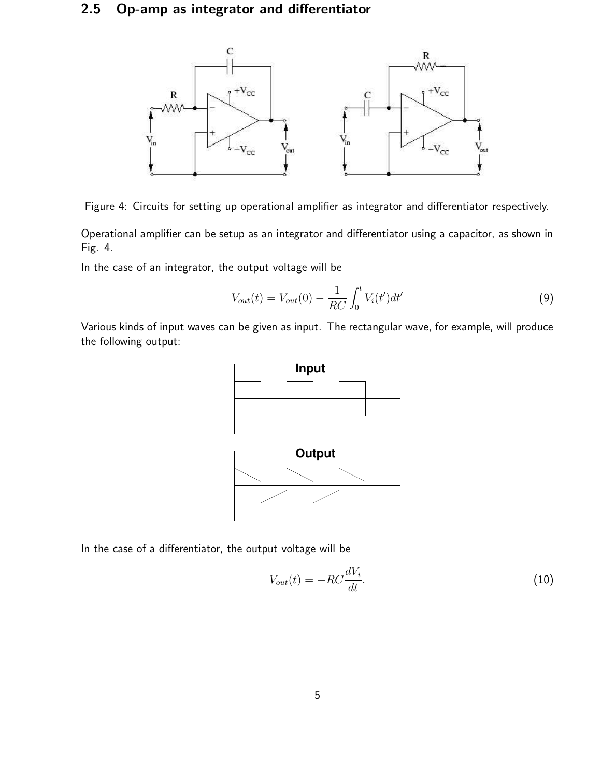### 2.5 Op-amp as integrator and differentiator



Figure 4: Circuits for setting up operational amplifier as integrator and differentiator respectively.

Operational amplifier can be setup as an integrator and differentiator using a capacitor, as shown in Fig. 4.

In the case of an integrator, the output voltage will be

$$
V_{out}(t) = V_{out}(0) - \frac{1}{RC} \int_0^t V_i(t')dt'
$$
\n(9)

Various kinds of input waves can be given as input. The rectangular wave, for example, will produce the following output:



In the case of a differentiator, the output voltage will be

$$
V_{out}(t) = -RC\frac{dV_i}{dt}.\tag{10}
$$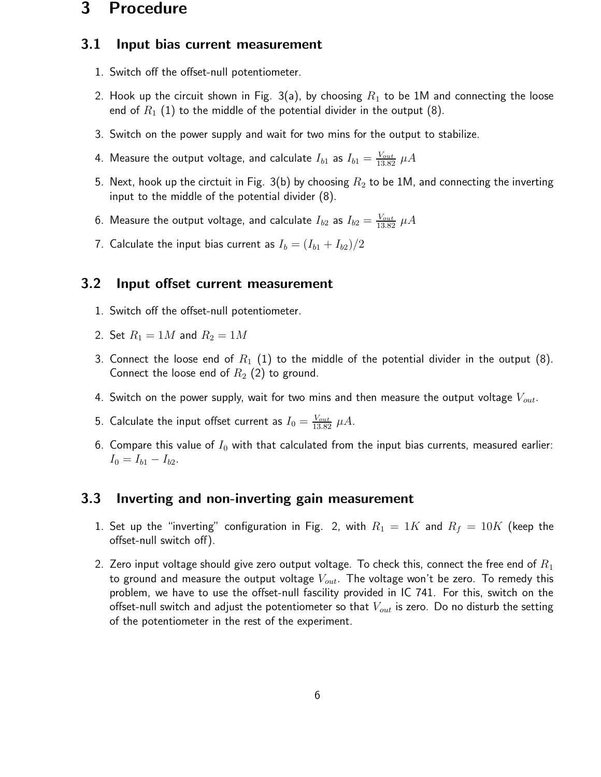### 3 Procedure

### 3.1 Input bias current measurement

- 1. Switch off the offset-null potentiometer.
- 2. Hook up the circuit shown in Fig. 3(a), by choosing  $R_1$  to be 1M and connecting the loose end of  $R_1$  (1) to the middle of the potential divider in the output (8).
- 3. Switch on the power supply and wait for two mins for the output to stabilize.
- 4. Measure the output voltage, and calculate  $I_{b1}$  as  $I_{b1}=\frac{V_{out}}{13.82}$   $\mu A$
- 5. Next, hook up the circtuit in Fig. 3(b) by choosing  $R_2$  to be 1M, and connecting the inverting input to the middle of the potential divider (8).
- 6. Measure the output voltage, and calculate  $I_{b2}$  as  $I_{b2}=\frac{V_{out}}{13.82}$   $\mu A$
- 7. Calculate the input bias current as  $I_b = (I_{b1} + I_{b2})/2$

### 3.2 Input offset current measurement

- 1. Switch off the offset-null potentiometer.
- 2. Set  $R_1 = 1M$  and  $R_2 = 1M$
- 3. Connect the loose end of  $R_1$   $(1)$  to the middle of the potential divider in the output  $(8)$ . Connect the loose end of  $R_2$  (2) to ground.
- 4. Switch on the power supply, wait for two mins and then measure the output voltage  $V_{out}$ .
- 5. Calculate the input offset current as  $I_0 = \frac{V_{out}}{13.82}$   $\mu A$ .
- 6. Compare this value of  $I_0$  with that calculated from the input bias currents, measured earlier:  $I_0 = I_{b1} - I_{b2}.$

### 3.3 Inverting and non-inverting gain measurement

- 1. Set up the "inverting" configuration in Fig. 2, with  $R_1 = 1K$  and  $R_f = 10K$  (keep the offset-null switch off).
- 2. Zero input voltage should give zero output voltage. To check this, connect the free end of  $R_1$ to ground and measure the output voltage  $V_{out}$ . The voltage won't be zero. To remedy this problem, we have to use the offset-null fascility provided in IC 741. For this, switch on the offset-null switch and adjust the potentiometer so that  $V_{out}$  is zero. Do no disturb the setting of the potentiometer in the rest of the experiment.